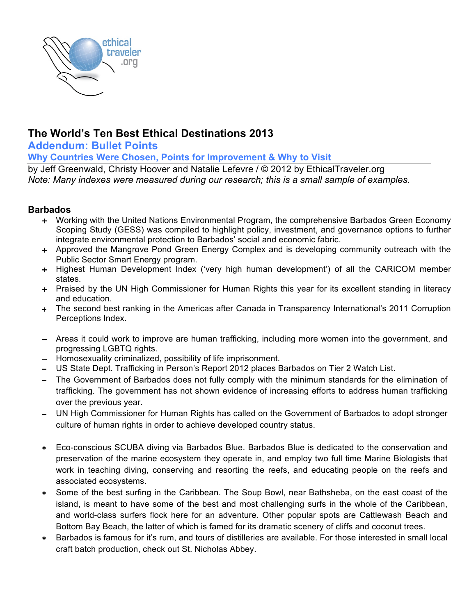

# **The World's Ten Best Ethical Destinations 2013**

**Addendum: Bullet Points**

**Why Countries Were Chosen, Points for Improvement & Why to Visit**

by Jeff Greenwald, Christy Hoover and Natalie Lefevre / © 2012 by EthicalTraveler.org *Note: Many indexes were measured during our research; this is a small sample of examples.* 

# **Barbados**

- + Working with the United Nations Environmental Program, the comprehensive Barbados Green Economy Scoping Study (GESS) was compiled to highlight policy, investment, and governance options to further integrate environmental protection to Barbados' social and economic fabric.
- + Approved the Mangrove Pond Green Energy Complex and is developing community outreach with the Public Sector Smart Energy program.
- + Highest Human Development Index ('very high human development') of all the CARICOM member states.
- + Praised by the UN High Commissioner for Human Rights this year for its excellent standing in literacy and education.
- + The second best ranking in the Americas after Canada in Transparency International's 2011 Corruption Perceptions Index.
- − Areas it could work to improve are human trafficking, including more women into the government, and progressing LGBTQ rights.
- − Homosexuality criminalized, possibility of life imprisonment.
- − US State Dept. Trafficking in Person's Report 2012 places Barbados on Tier 2 Watch List.
- − The Government of Barbados does not fully comply with the minimum standards for the elimination of trafficking. The government has not shown evidence of increasing efforts to address human trafficking over the previous year.
- − UN High Commissioner for Human Rights has called on the Government of Barbados to adopt stronger culture of human rights in order to achieve developed country status.
- ∗ Eco-conscious SCUBA diving via Barbados Blue. Barbados Blue is dedicated to the conservation and preservation of the marine ecosystem they operate in, and employ two full time Marine Biologists that work in teaching diving, conserving and resorting the reefs, and educating people on the reefs and associated ecosystems.
- Some of the best surfing in the Caribbean. The Soup Bowl, near Bathsheba, on the east coast of the island, is meant to have some of the best and most challenging surfs in the whole of the Caribbean, and world-class surfers flock here for an adventure. Other popular spots are Cattlewash Beach and Bottom Bay Beach, the latter of which is famed for its dramatic scenery of cliffs and coconut trees.
- ∗ Barbados is famous for it's rum, and tours of distilleries are available. For those interested in small local craft batch production, check out St. Nicholas Abbey.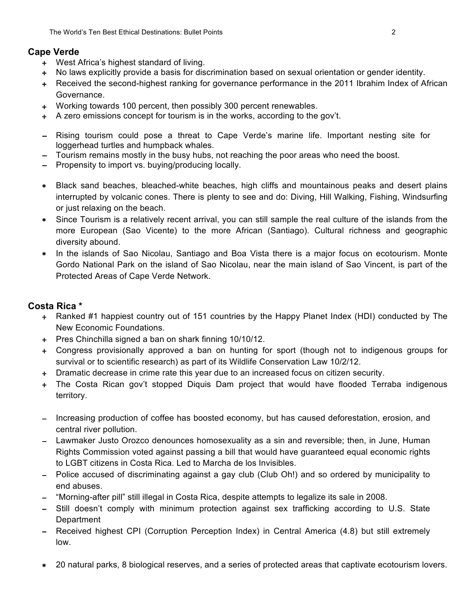#### **Cape Verde**

- + West Africa's highest standard of living.
- + No laws explicitly provide a basis for discrimination based on sexual orientation or gender identity.
- + Received the second-highest ranking for governance performance in the 2011 Ibrahim Index of African Governance.
- + Working towards 100 percent, then possibly 300 percent renewables.
- + A zero emissions concept for tourism is in the works, according to the gov't.
- − Rising tourism could pose a threat to Cape Verde's marine life. Important nesting site for loggerhead turtles and humpback whales.
- − Tourism remains mostly in the busy hubs, not reaching the poor areas who need the boost.
- − Propensity to import vs. buying/producing locally.
- Black sand beaches, bleached-white beaches, high cliffs and mountainous peaks and desert plains interrupted by volcanic cones. There is plenty to see and do: Diving, Hill Walking, Fishing, Windsurfing or just relaxing on the beach.
- ∗ Since Tourism is a relatively recent arrival, you can still sample the real culture of the islands from the more European (Sao Vicente) to the more African (Santiago). Cultural richness and geographic diversity abound.
- In the islands of Sao Nicolau, Santiago and Boa Vista there is a major focus on ecotourism. Monte Gordo National Park on the island of Sao Nicolau, near the main island of Sao Vincent, is part of the Protected Areas of Cape Verde Network.

#### **Costa Rica \***

- + Ranked #1 happiest country out of 151 countries by the Happy Planet Index (HDI) conducted by The New Economic Foundations.
- + Pres Chinchilla signed a ban on shark finning 10/10/12.
- + Congress provisionally approved a ban on hunting for sport (though not to indigenous groups for survival or to scientific research) as part of its Wildlife Conservation Law 10/2/12.
- + Dramatic decrease in crime rate this year due to an increased focus on citizen security.
- + The Costa Rican gov't stopped Diquis Dam project that would have flooded Terraba indigenous territory.
- − Increasing production of coffee has boosted economy, but has caused deforestation, erosion, and central river pollution.
- − Lawmaker Justo Orozco denounces homosexuality as a sin and reversible; then, in June, Human Rights Commission voted against passing a bill that would have guaranteed equal economic rights to LGBT citizens in Costa Rica. Led to Marcha de los Invisibles.
- − Police accused of discriminating against a gay club (Club Oh!) and so ordered by municipality to end abuses.
- − "Morning-after pill" still illegal in Costa Rica, despite attempts to legalize its sale in 2008.
- − Still doesn't comply with minimum protection against sex trafficking according to U.S. State **Department**
- − Received highest CPI (Corruption Perception Index) in Central America (4.8) but still extremely low.
- ∗ 20 natural parks, 8 biological reserves, and a series of protected areas that captivate ecotourism lovers.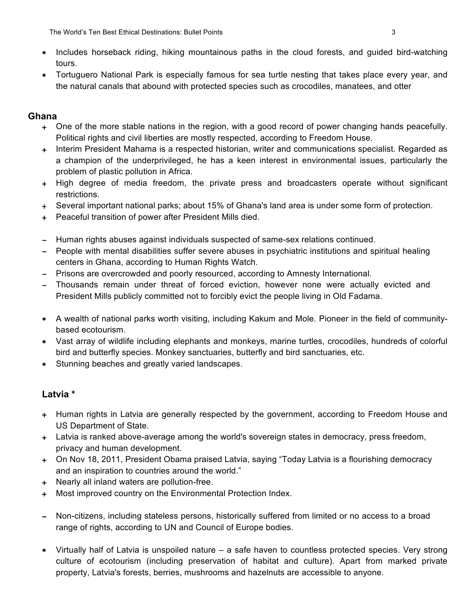- ∗ Includes horseback riding, hiking mountainous paths in the cloud forests, and guided bird-watching tours.
- ∗ Tortuguero National Park is especially famous for sea turtle nesting that takes place every year, and the natural canals that abound with protected species such as crocodiles, manatees, and otter

# **Ghana**

- + One of the more stable nations in the region, with a good record of power changing hands peacefully. Political rights and civil liberties are mostly respected, according to Freedom House.
- + Interim President Mahama is a respected historian, writer and communications specialist. Regarded as a champion of the underprivileged, he has a keen interest in environmental issues, particularly the problem of plastic pollution in Africa.
- + High degree of media freedom, the private press and broadcasters operate without significant restrictions.
- + Several important national parks; about 15% of Ghana's land area is under some form of protection.
- + Peaceful transition of power after President Mills died.
- − Human rights abuses against individuals suspected of same-sex relations continued.
- − People with mental disabilities suffer severe abuses in psychiatric institutions and spiritual healing centers in Ghana, according to Human Rights Watch.
- − Prisons are overcrowded and poorly resourced, according to Amnesty International.
- Thousands remain under threat of forced eviction, however none were actually evicted and President Mills publicly committed not to forcibly evict the people living in Old Fadama.
- ∗ A wealth of national parks worth visiting, including Kakum and Mole. Pioneer in the field of communitybased ecotourism.
- ∗ Vast array of wildlife including elephants and monkeys, marine turtles, crocodiles, hundreds of colorful bird and butterfly species. Monkey sanctuaries, butterfly and bird sanctuaries, etc.
- ∗ Stunning beaches and greatly varied landscapes.

# **Latvia \***

- + Human rights in Latvia are generally respected by the government, according to Freedom House and US Department of State.
- + Latvia is ranked above-average among the world's sovereign states in democracy, press freedom, privacy and human development.
- + On Nov 18, 2011, President Obama praised Latvia, saying "Today Latvia is a flourishing democracy and an inspiration to countries around the world."
- + Nearly all inland waters are pollution-free.
- + Most improved country on the Environmental Protection Index.
- Non-citizens, including stateless persons, historically suffered from limited or no access to a broad range of rights, according to UN and Council of Europe bodies.
- ∗ Virtually half of Latvia is unspoiled nature a safe haven to countless protected species. Very strong culture of ecotourism (including preservation of habitat and culture). Apart from marked private property, Latvia's forests, berries, mushrooms and hazelnuts are accessible to anyone.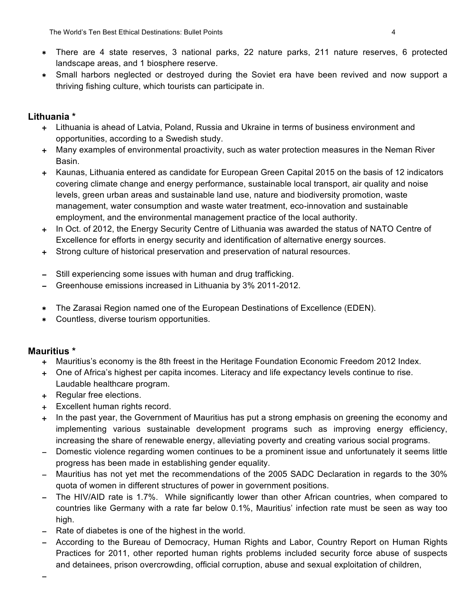- ∗ There are 4 state reserves, 3 national parks, 22 nature parks, 211 nature reserves, 6 protected landscape areas, and 1 biosphere reserve.
- ∗ Small harbors neglected or destroyed during the Soviet era have been revived and now support a thriving fishing culture, which tourists can participate in.

# **Lithuania \***

- + Lithuania is ahead of Latvia, Poland, Russia and Ukraine in terms of business environment and opportunities, according to a Swedish study.
- + Many examples of environmental proactivity, such as water protection measures in the Neman River Basin.
- + Kaunas, Lithuania entered as candidate for European Green Capital 2015 on the basis of 12 indicators covering climate change and energy performance, sustainable local transport, air quality and noise levels, green urban areas and sustainable land use, nature and biodiversity promotion, waste management, water consumption and waste water treatment, eco-innovation and sustainable employment, and the environmental management practice of the local authority.
- + In Oct. of 2012, the Energy Security Centre of Lithuania was awarded the status of NATO Centre of Excellence for efforts in energy security and identification of alternative energy sources.
- + Strong culture of historical preservation and preservation of natural resources.
- − Still experiencing some issues with human and drug trafficking.
- − Greenhouse emissions increased in Lithuania by 3% 2011-2012.
- ∗ The Zarasai Region named one of the European Destinations of Excellence (EDEN).
- ∗ Countless, diverse tourism opportunities.

#### **Mauritius \***

−

- + Mauritius's economy is the 8th freest in the Heritage Foundation Economic Freedom 2012 Index.
- + One of Africa's highest per capita incomes. Literacy and life expectancy levels continue to rise. Laudable healthcare program.
- + Regular free elections.
- + Excellent human rights record.
- + In the past year, the Government of Mauritius has put a strong emphasis on greening the economy and implementing various sustainable development programs such as improving energy efficiency, increasing the share of renewable energy, alleviating poverty and creating various social programs.
- Domestic violence regarding women continues to be a prominent issue and unfortunately it seems little progress has been made in establishing gender equality.
- − Mauritius has not yet met the recommendations of the 2005 SADC Declaration in regards to the 30% quota of women in different structures of power in government positions.
- − The HIV/AID rate is 1.7%. While significantly lower than other African countries, when compared to countries like Germany with a rate far below 0.1%, Mauritius' infection rate must be seen as way too high.
- − Rate of diabetes is one of the highest in the world.
- − According to the Bureau of Democracy, Human Rights and Labor, Country Report on Human Rights Practices for 2011, other reported human rights problems included security force abuse of suspects and detainees, prison overcrowding, official corruption, abuse and sexual exploitation of children,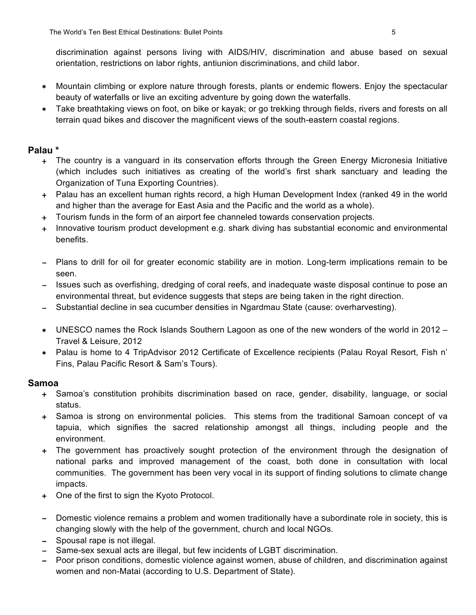discrimination against persons living with AIDS/HIV, discrimination and abuse based on sexual orientation, restrictions on labor rights, antiunion discriminations, and child labor.

- ∗ Mountain climbing or explore nature through forests, plants or endemic flowers. Enjoy the spectacular beauty of waterfalls or live an exciting adventure by going down the waterfalls.
- ∗ Take breathtaking views on foot, on bike or kayak; or go trekking through fields, rivers and forests on all terrain quad bikes and discover the magnificent views of the south-eastern coastal regions.

#### **Palau \***

- + The country is a vanguard in its conservation efforts through the Green Energy Micronesia Initiative (which includes such initiatives as creating of the world's first shark sanctuary and leading the Organization of Tuna Exporting Countries).
- + Palau has an excellent human rights record, a high Human Development Index (ranked 49 in the world and higher than the average for East Asia and the Pacific and the world as a whole).
- + Tourism funds in the form of an airport fee channeled towards conservation projects.
- + Innovative tourism product development e.g. shark diving has substantial economic and environmental benefits.
- − Plans to drill for oil for greater economic stability are in motion. Long-term implications remain to be seen.
- − Issues such as overfishing, dredging of coral reefs, and inadequate waste disposal continue to pose an environmental threat, but evidence suggests that steps are being taken in the right direction.
- − Substantial decline in sea cucumber densities in Ngardmau State (cause: overharvesting).
- ∗ UNESCO names the Rock Islands Southern Lagoon as one of the new wonders of the world in 2012 Travel & Leisure, 2012
- ∗ Palau is home to 4 TripAdvisor 2012 Certificate of Excellence recipients (Palau Royal Resort, Fish n' Fins, Palau Pacific Resort & Sam's Tours).

#### **Samoa**

- + Samoa's constitution prohibits discrimination based on race, gender, disability, language, or social status.
- + Samoa is strong on environmental policies. This stems from the traditional Samoan concept of va tapuia, which signifies the sacred relationship amongst all things, including people and the environment.
- + The government has proactively sought protection of the environment through the designation of national parks and improved management of the coast, both done in consultation with local communities. The government has been very vocal in its support of finding solutions to climate change impacts.
- + One of the first to sign the Kyoto Protocol.
- − Domestic violence remains a problem and women traditionally have a subordinate role in society, this is changing slowly with the help of the government, church and local NGOs.
- − Spousal rape is not illegal.
- Same-sex sexual acts are illegal, but few incidents of LGBT discrimination.
- − Poor prison conditions, domestic violence against women, abuse of children, and discrimination against women and non-Matai (according to U.S. Department of State).